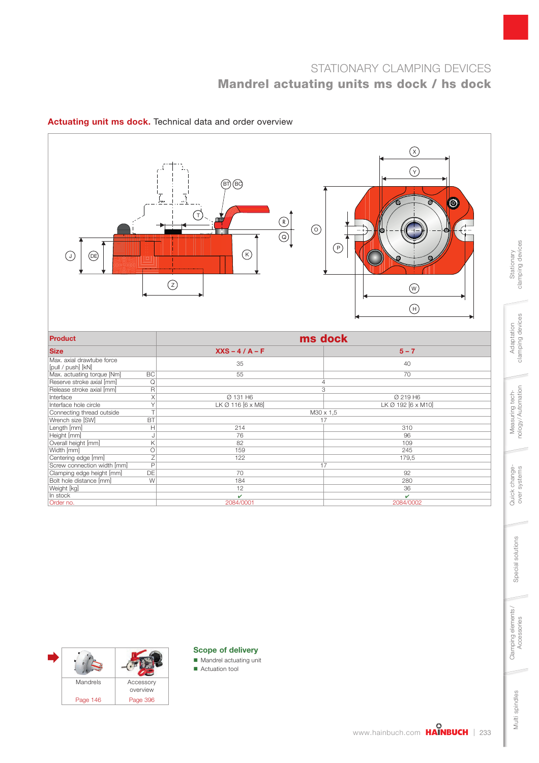# STATIONARY CLAMPING DEVICES Mandrel actuating units ms dock / hs dock



### Actuating unit ms dock. Technical data and order overview



#### Scope of delivery

- Mandrel actuating unit
- **Actuation tool**

Clamping elements/<br>Accessories

Stationary<br>clamping devices clamping devices

> Adaptation clamping devices

clamping devices Adaptation

> Measuring technology / Automation

Measuring tech-<br>nology/Automation

Quick change-<br>over systems

Special solutions

Special solutions